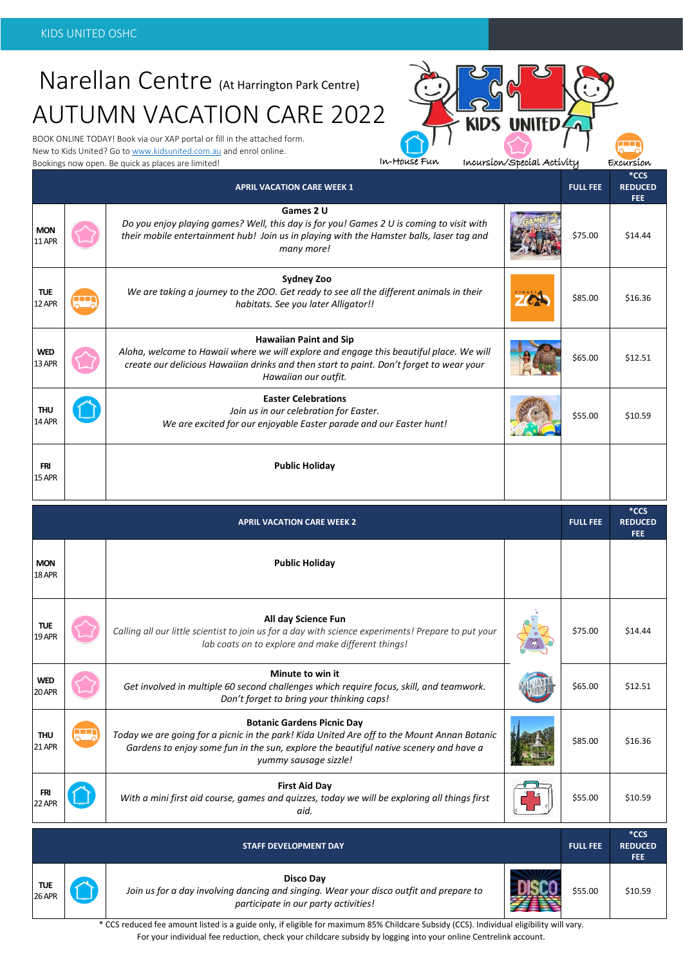# Narellan Centre (At Harrington Park Centre) AUTUMN VACATION CARE 2022

BOOK ONLINE TODAY! Book via our XAP portal or fill in the attached form. New to Kids United? Go t[o www.kidsunited.com.au](http://www.kidsunited.com.au/) and enrol online. Bookings now open. Be quick as places are limited!

In-House Fun Incursion/Special Activity

| Excursion |  |
|-----------|--|
|           |  |

|                             |                          | <b>APRIL VACATION CARE WEEK 1</b>                                                                                                                                                                                                                  |            | <b>FULL FEE</b> | $*CCS$<br><b>REDUCED</b><br><b>FEE</b> |
|-----------------------------|--------------------------|----------------------------------------------------------------------------------------------------------------------------------------------------------------------------------------------------------------------------------------------------|------------|-----------------|----------------------------------------|
| <b>MON</b><br>11 APR        |                          | Games 2 U<br>Do you enjoy playing games? Well, this day is for you! Games 2 U is coming to visit with<br>their mobile entertainment hub! Join us in playing with the Hamster balls, laser tag and<br>many more!                                    |            | \$75.00         | \$14.44                                |
| <b>TUE</b><br>12 APR        | $\overline{\phantom{a}}$ | <b>Sydney Zoo</b><br>We are taking a journey to the ZOO. Get ready to see all the different animals in their<br>habitats. See you later Alligator!!                                                                                                | <b>ZOL</b> | \$85.00         | \$16.36                                |
| <b>WED</b><br>13 APR        |                          | <b>Hawaiian Paint and Sip</b><br>Aloha, welcome to Hawaii where we will explore and engage this beautiful place. We will<br>create our delicious Hawaiian drinks and then start to paint. Don't forget to wear your<br>Hawaiian our outfit.        |            | \$65.00         | \$12.51                                |
| <b>THU</b><br><b>14 APR</b> |                          | <b>Easter Celebrations</b><br>Join us in our celebration for Easter.<br>We are excited for our enjoyable Easter parade and our Easter hunt!                                                                                                        |            | \$55.00         | \$10.59                                |
| <b>FRI</b><br>15 APR        |                          | <b>Public Holiday</b>                                                                                                                                                                                                                              |            |                 |                                        |
|                             |                          |                                                                                                                                                                                                                                                    |            |                 |                                        |
|                             |                          | <b>APRIL VACATION CARE WEEK 2</b>                                                                                                                                                                                                                  |            | <b>FULL FEE</b> | $*CCS$<br><b>REDUCED</b><br>FEE.       |
| <b>MON</b><br>18 APR        |                          | <b>Public Holiday</b>                                                                                                                                                                                                                              |            |                 |                                        |
| <b>TUE</b><br>19 APR        |                          | All day Science Fun<br>Calling all our little scientist to join us for a day with science experiments! Prepare to put your<br>lab coats on to explore and make different things!                                                                   |            | \$75.00         | \$14.44                                |
| WED<br>20 APR               |                          | Minute to win it<br>Get involved in multiple 60 second challenges which require focus, skill, and teamwork.<br>Don't forget to bring your thinking caps!                                                                                           |            | \$65.00         | \$12.51                                |
| <b>THU</b><br><b>21 APR</b> | ш                        | <b>Botanic Gardens Picnic Day</b><br>Today we are going for a picnic in the park! Kida United Are off to the Mount Annan Botanic<br>Gardens to enjoy some fun in the sun, explore the beautiful native scenery and have a<br>yummy sausage sizzle! |            | \$85.00         | \$16.36                                |
| <b>FRI</b><br>22 APR        |                          | <b>First Aid Day</b><br>With a mini first aid course, games and quizzes, today we will be exploring all things first<br>aid.                                                                                                                       |            | \$55.00         | \$10.59                                |



**Disco Day** *Join us for a day involving dancing and singing. Wear your disco outfit and prepare to participate in our party activities!*

**FEE**  $$55.00$  \$10.59

\* CCS reduced fee amount listed is a guide only, if eligible for maximum 85% Childcare Subsidy (CCS). Individual eligibility will vary. For your individual fee reduction, check your childcare subsidy by logging into your online Centrelink account.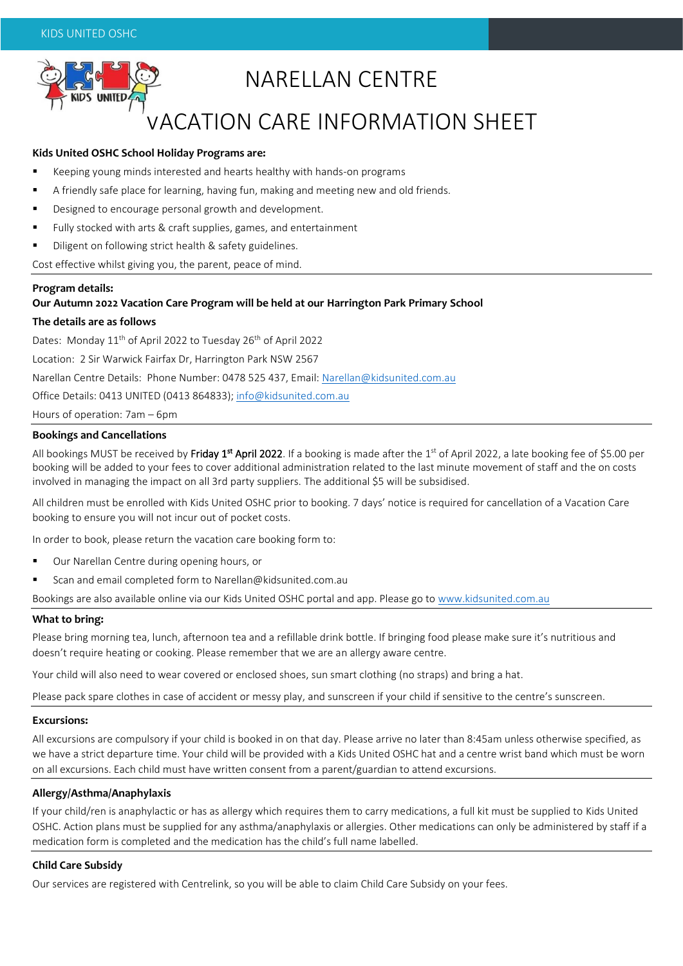

# NARELLAN CENTRE

## VACATION CARE INFORMATION SHEET

#### **Kids United OSHC School Holiday Programs are:**

- Keeping young minds interested and hearts healthy with hands-on programs
- A friendly safe place for learning, having fun, making and meeting new and old friends.
- Designed to encourage personal growth and development.
- Fully stocked with arts & craft supplies, games, and entertainment
- Diligent on following strict health & safety guidelines.

Cost effective whilst giving you, the parent, peace of mind.

#### **Program details:**

#### **Our Autumn 2022 Vacation Care Program will be held at our Harrington Park Primary School**

#### **The details are as follows**

Dates: Monday 11<sup>th</sup> of April 2022 to Tuesday 26<sup>th</sup> of April 2022

Location: 2 Sir Warwick Fairfax Dr, Harrington Park NSW 2567

Narellan Centre Details: Phone Number: 0478 525 437, Email: [Narellan@kidsunited.com.au](mailto:Narellan@kidsunited.com.au)

Office Details: 0413 UNITED (0413 864833); [info@kidsunited.com.au](mailto:info@kidsunited.com.au)

Hours of operation: 7am – 6pm

#### **Bookings and Cancellations**

All bookings MUST be received by **Friday 1<sup>st</sup> April 2022**. If a booking is made after the 1<sup>st</sup> of April 2022, a late booking fee of \$5.00 per booking will be added to your fees to cover additional administration related to the last minute movement of staff and the on costs involved in managing the impact on all 3rd party suppliers. The additional \$5 will be subsidised.

All children must be enrolled with Kids United OSHC prior to booking. 7 days' notice is required for cancellation of a Vacation Care booking to ensure you will not incur out of pocket costs.

In order to book, please return the vacation care booking form to:

- Our Narellan Centre during opening hours, or
- Scan and email completed form to Narellan@kidsunited.com.au

Bookings are also available online via our Kids United OSHC portal and app. Please go to [www.kidsunited.com.au](http://www.kidsunited.com.au/)

#### **What to bring:**

Please bring morning tea, lunch, afternoon tea and a refillable drink bottle. If bringing food please make sure it's nutritious and doesn't require heating or cooking. Please remember that we are an allergy aware centre.

Your child will also need to wear covered or enclosed shoes, sun smart clothing (no straps) and bring a hat.

Please pack spare clothes in case of accident or messy play, and sunscreen if your child if sensitive to the centre's sunscreen.

#### **Excursions:**

All excursions are compulsory if your child is booked in on that day. Please arrive no later than 8:45am unless otherwise specified, as we have a strict departure time. Your child will be provided with a Kids United OSHC hat and a centre wrist band which must be worn on all excursions. Each child must have written consent from a parent/guardian to attend excursions.

#### **Allergy/Asthma/Anaphylaxis**

If your child/ren is anaphylactic or has as allergy which requires them to carry medications, a full kit must be supplied to Kids United OSHC. Action plans must be supplied for any asthma/anaphylaxis or allergies. Other medications can only be administered by staff if a medication form is completed and the medication has the child's full name labelled.

#### **Child Care Subsidy**

Our services are registered with Centrelink, so you will be able to claim Child Care Subsidy on your fees.